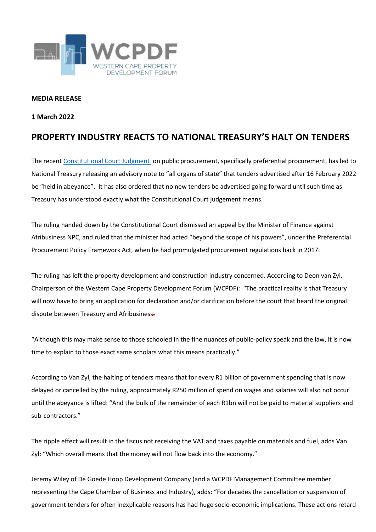

## **MEDIA RELEASE**

## **1 March 2022**

## **PROPERTY INDUSTRY REACTS TO NATIONAL TREASURY'S HALT ON TENDERS**

The recent [Constitutional Court Judgment](https://www.timeslive.co.za/news/south-africa/2022-02-26-treasury-boss-halts-all-new-state-tenders-amid-confusion-on-concourt-ruling/) on public procurement, specifically preferential procurement, has led to National Treasury releasing an advisory note to "all organs of state" that tenders advertised after 16 February 2022 be "held in abeyance". It has also ordered that no new tenders be advertised going forward until such time as Treasury has understood exactly what the Constitutional Court judgement means.

The ruling handed down by the Constitutional Court dismissed an appeal by the Minister of Finance against Afribusiness NPC, and ruled that the minister had acted "beyond the scope of his powers", under the Preferential Procurement Policy Framework Act, when he had promulgated procurement regulations back in 2017.

The ruling has left the property development and construction industry concerned. According to Deon van Zyl, Chairperson of the Western Cape Property Development Forum (WCPDF): "The practical reality is that Treasury will now have to bring an application for declaration and/or clarification before the court that heard the original dispute between Treasury and Afribusiness-

"Although this may make sense to those schooled in the fine nuances of public-policy speak and the law, it is now time to explain to those exact same scholars what this means practically."

According to Van Zyl, the halting of tenders means that for every R1 billion of government spending that is now delayed or cancelled by the ruling, approximately R250 million of spend on wages and salaries will also not occur until the abeyance is lifted: "And the bulk of the remainder of each R1bn will not be paid to material suppliers and sub-contractors."

The ripple effect will result in the fiscus not receiving the VAT and taxes payable on materials and fuel, adds Van Zyl: "Which overall means that the money will not flow back into the economy."

Jeremy Wiley of De Goede Hoop Development Company (and a WCPDF Management Committee member representing the Cape Chamber of Business and Industry), adds: "For decades the cancellation or suspension of government tenders for often inexplicable reasons has had huge socio-economic implications. These actions retard